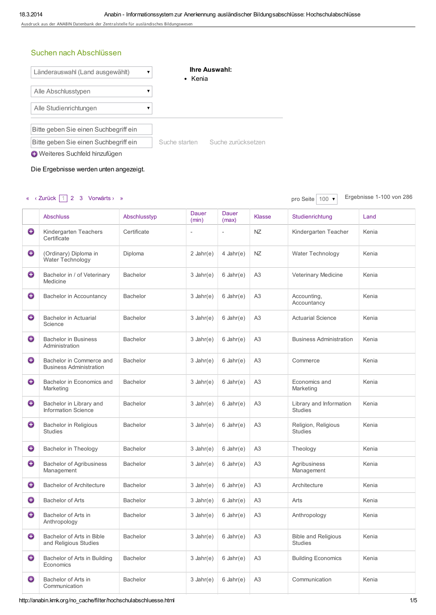Ausdruck aus der ANABIN Datenbank der Zentralstelle für ausländisches Bildungswesen

## Suchen nach Abschlüssen



Die Ergebnisse werden unten angezeigt.

## « ‹ Zurück 1 2 3 Vorwärts › » browhere the contract of the contract of the contract of the contract of the contract of the contract of the contract of the contract of the contract of the contract of the contract of the con

|   | <b>Abschluss</b>                                           | Abschlusstyp    | Dauer<br>(min) | Dauer<br>(max) | <b>Klasse</b>  | Studienrichtung                              | Land  |
|---|------------------------------------------------------------|-----------------|----------------|----------------|----------------|----------------------------------------------|-------|
| € | Kindergarten Teachers<br>Certificate                       | Certificate     | $\overline{a}$ | $\overline{a}$ | NZ             | Kindergarten Teacher                         | Kenia |
| € | (Ordinary) Diploma in<br>Water Technology                  | Diploma         | 2 Jahr $(e)$   | $4$ Jahr $(e)$ | NZ             | Water Technology                             | Kenia |
| ⊖ | Bachelor in / of Veterinary<br>Medicine                    | <b>Bachelor</b> | $3$ Jahr(e)    | $6$ Jahr $(e)$ | A <sub>3</sub> | Veterinary Medicine                          | Kenia |
| € | Bachelor in Accountancy                                    | Bachelor        | $3$ Jahr(e)    | $6$ Jahr $(e)$ | A <sub>3</sub> | Accounting,<br>Accountancy                   | Kenia |
| ⊕ | Bachelor in Actuarial<br>Science                           | <b>Bachelor</b> | $3$ Jahr(e)    | $6$ Jahr $(e)$ | A3             | <b>Actuarial Science</b>                     | Kenia |
| ⊖ | <b>Bachelor in Business</b><br>Administration              | <b>Bachelor</b> | $3$ Jahr(e)    | $6$ Jahr $(e)$ | A <sub>3</sub> | <b>Business Administration</b>               | Kenia |
| ⊕ | Bachelor in Commerce and<br><b>Business Administration</b> | <b>Bachelor</b> | $3$ Jahr(e)    | $6$ Jahr $(e)$ | A3             | Commerce                                     | Kenia |
| ⊕ | Bachelor in Economics and<br>Marketing                     | <b>Bachelor</b> | $3$ Jahr(e)    | $6$ Jahr $(e)$ | A <sub>3</sub> | Economics and<br>Marketing                   | Kenia |
| ⊖ | Bachelor in Library and<br><b>Information Science</b>      | <b>Bachelor</b> | $3$ Jahr(e)    | $6$ Jahr $(e)$ | A <sub>3</sub> | Library and Information<br><b>Studies</b>    | Kenia |
| € | <b>Bachelor in Religious</b><br><b>Studies</b>             | <b>Bachelor</b> | $3$ Jahr(e)    | $6$ Jahr $(e)$ | A <sub>3</sub> | Religion, Religious<br><b>Studies</b>        | Kenia |
| ⊕ | <b>Bachelor in Theology</b>                                | <b>Bachelor</b> | $3$ Jahr(e)    | $6$ Jahr $(e)$ | A <sub>3</sub> | Theology                                     | Kenia |
| ◒ | <b>Bachelor of Agribusiness</b><br>Management              | <b>Bachelor</b> | $3$ Jahr(e)    | $6$ Jahr $(e)$ | A <sub>3</sub> | Agribusiness<br>Management                   | Kenia |
| ⊕ | <b>Bachelor of Architecture</b>                            | <b>Bachelor</b> | $3$ Jahr(e)    | $6$ Jahr $(e)$ | A3             | Architecture                                 | Kenia |
| ⊖ | <b>Bachelor of Arts</b>                                    | <b>Bachelor</b> | $3$ Jahr(e)    | $6$ Jahr $(e)$ | A <sub>3</sub> | Arts                                         | Kenia |
| € | Bachelor of Arts in<br>Anthropology                        | <b>Bachelor</b> | $3$ Jahr(e)    | $6$ Jahr $(e)$ | A3             | Anthropology                                 | Kenia |
| ⊕ | Bachelor of Arts in Bible<br>and Religious Studies         | <b>Bachelor</b> | $3$ Jahr(e)    | $6$ Jahr $(e)$ | A <sub>3</sub> | <b>Bible and Religious</b><br><b>Studies</b> | Kenia |
| ⊕ | Bachelor of Arts in Building<br>Economics                  | <b>Bachelor</b> | $3$ Jahr(e)    | $6$ Jahr $(e)$ | A <sub>3</sub> | <b>Building Economics</b>                    | Kenia |
| ⊙ | Bachelor of Arts in<br>Communication                       | <b>Bachelor</b> | $3$ Jahr(e)    | $6$ Jahr $(e)$ | A <sub>3</sub> | Communication                                | Kenia |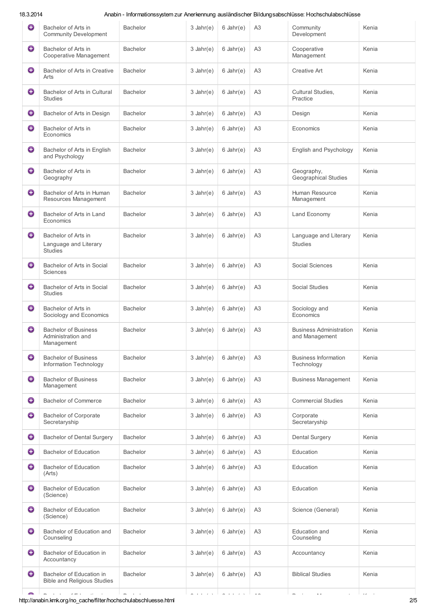18.3.2014 Anabin - Informationssystem zur Anerkennung ausländischer Bildungsabschlüsse: Hochschulabschlüsse

| 0 | Bachelor of Arts in<br><b>Community Development</b>             | Bachelor        | $3$ Jahr(e) | $6$ Jahr $(e)$ | A <sub>3</sub> | Community<br>Development                         | Kenia |
|---|-----------------------------------------------------------------|-----------------|-------------|----------------|----------------|--------------------------------------------------|-------|
| ⊕ | Bachelor of Arts in<br>Cooperative Management                   | <b>Bachelor</b> | $3$ Jahr(e) | $6$ Jahr $(e)$ | A <sub>3</sub> | Cooperative<br>Management                        | Kenia |
| ⊕ | Bachelor of Arts in Creative<br>Arts                            | <b>Bachelor</b> | $3$ Jahr(e) | $6$ Jahr $(e)$ | A <sub>3</sub> | <b>Creative Art</b>                              | Kenia |
| ⊕ | Bachelor of Arts in Cultural<br><b>Studies</b>                  | <b>Bachelor</b> | $3$ Jahr(e) | $6$ Jahr $(e)$ | A <sub>3</sub> | Cultural Studies,<br>Practice                    | Kenia |
| ⊕ | Bachelor of Arts in Design                                      | <b>Bachelor</b> | $3$ Jahr(e) | $6$ Jahr $(e)$ | A <sub>3</sub> | Design                                           | Kenia |
| ⊕ | Bachelor of Arts in<br>Economics                                | <b>Bachelor</b> | $3$ Jahr(e) | $6$ Jahr $(e)$ | A3             | Economics                                        | Kenia |
| ⊕ | Bachelor of Arts in English<br>and Psychology                   | <b>Bachelor</b> | $3$ Jahr(e) | $6$ Jahr $(e)$ | A <sub>3</sub> | English and Psychology                           | Kenia |
| ⊕ | Bachelor of Arts in<br>Geography                                | <b>Bachelor</b> | $3$ Jahr(e) | $6$ Jahr $(e)$ | A <sub>3</sub> | Geography,<br><b>Geographical Studies</b>        | Kenia |
| ⊕ | Bachelor of Arts in Human<br>Resources Management               | <b>Bachelor</b> | $3$ Jahr(e) | $6$ Jahr $(e)$ | A <sub>3</sub> | Human Resource<br>Management                     | Kenia |
| ⊕ | Bachelor of Arts in Land<br>Economics                           | <b>Bachelor</b> | $3$ Jahr(e) | $6$ Jahr $(e)$ | A <sub>3</sub> | Land Economy                                     | Kenia |
| € | Bachelor of Arts in<br>Language and Literary<br><b>Studies</b>  | <b>Bachelor</b> | $3$ Jahr(e) | $6$ Jahr $(e)$ | A <sub>3</sub> | Language and Literary<br><b>Studies</b>          | Kenia |
| ⊕ | Bachelor of Arts in Social<br>Sciences                          | Bachelor        | $3$ Jahr(e) | $6$ Jahr $(e)$ | A <sub>3</sub> | Social Sciences                                  | Kenia |
| € | Bachelor of Arts in Social<br><b>Studies</b>                    | <b>Bachelor</b> | $3$ Jahr(e) | $6$ Jahr $(e)$ | A3             | Social Studies                                   | Kenia |
| € | Bachelor of Arts in<br>Sociology and Economics                  | <b>Bachelor</b> | $3$ Jahr(e) | $6$ Jahr $(e)$ | A <sub>3</sub> | Sociology and<br>Economics                       | Kenia |
| 0 | <b>Bachelor of Business</b><br>Administration and<br>Management | <b>Bachelor</b> | $3$ Jahr(e) | $6$ Jahr $(e)$ | A <sub>3</sub> | <b>Business Administration</b><br>and Management | Kenia |
| ⊕ | <b>Bachelor of Business</b><br>Information Technology           | <b>Bachelor</b> | $3$ Jahr(e) | $6$ Jahr $(e)$ | A <sub>3</sub> | <b>Business Information</b><br>Technology        | Kenia |
| ⊕ | <b>Bachelor of Business</b><br>Management                       | <b>Bachelor</b> | $3$ Jahr(e) | $6$ Jahr $(e)$ | A <sub>3</sub> | <b>Business Management</b>                       | Kenia |
| ⊕ | <b>Bachelor of Commerce</b>                                     | <b>Bachelor</b> | $3$ Jahr(e) | $6$ Jahr $(e)$ | A <sub>3</sub> | <b>Commercial Studies</b>                        | Kenia |
| ⊕ | <b>Bachelor of Corporate</b><br>Secretaryship                   | <b>Bachelor</b> | $3$ Jahr(e) | $6$ Jahr $(e)$ | A <sub>3</sub> | Corporate<br>Secretaryship                       | Kenia |
| ⊙ | <b>Bachelor of Dental Surgery</b>                               | <b>Bachelor</b> | $3$ Jahr(e) | $6$ Jahr $(e)$ | A <sub>3</sub> | <b>Dental Surgery</b>                            | Kenia |
| ⊕ | <b>Bachelor of Education</b>                                    | <b>Bachelor</b> | $3$ Jahr(e) | $6$ Jahr $(e)$ | A <sub>3</sub> | Education                                        | Kenia |
| ⊕ | <b>Bachelor of Education</b><br>(Arts)                          | <b>Bachelor</b> | $3$ Jahr(e) | $6$ Jahr $(e)$ | A <sub>3</sub> | Education                                        | Kenia |
| ⊕ | <b>Bachelor of Education</b><br>(Science)                       | <b>Bachelor</b> | $3$ Jahr(e) | $6$ Jahr $(e)$ | A3             | Education                                        | Kenia |
| ⊕ | <b>Bachelor of Education</b><br>(Science)                       | <b>Bachelor</b> | $3$ Jahr(e) | $6$ Jahr $(e)$ | A <sub>3</sub> | Science (General)                                | Kenia |
| ⊕ | Bachelor of Education and<br>Counseling                         | <b>Bachelor</b> | $3$ Jahr(e) | $6$ Jahr $(e)$ | A <sub>3</sub> | Education and<br>Counseling                      | Kenia |
| ⊕ | Bachelor of Education in<br>Accountancy                         | <b>Bachelor</b> | $3$ Jahr(e) | $6$ Jahr $(e)$ | A <sub>3</sub> | Accountancy                                      | Kenia |
| ⊕ | Bachelor of Education in<br><b>Bible and Religious Studies</b>  | <b>Bachelor</b> | $3$ Jahr(e) | $6$ Jahr $(e)$ | A <sub>3</sub> | <b>Biblical Studies</b>                          | Kenia |
|   |                                                                 |                 |             |                |                |                                                  |       |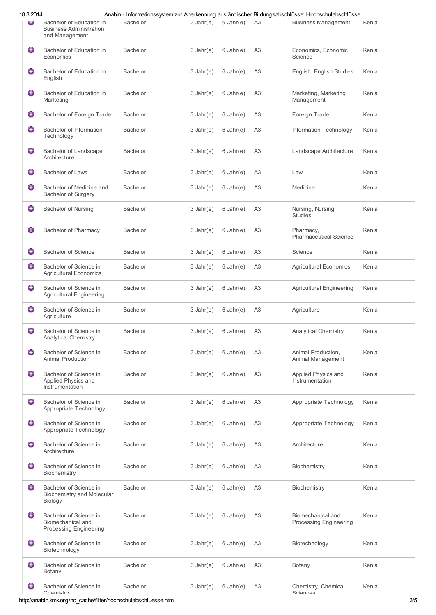| 18.3.2014 |
|-----------|
|-----------|

18.3.2014 Anabin - Informationssystem zur Anerkennung ausländischer Bildungsabschlüsse: Hochschulabschlüsse

| Ψ | Bachelor of Education in<br><b>Business Administration</b><br>and Management | Bachelor        | $3$ Jahr(e) | $6$ Jahr $(e)$ | A3             | <b>Business Management</b>                  | Kenia |
|---|------------------------------------------------------------------------------|-----------------|-------------|----------------|----------------|---------------------------------------------|-------|
| € | Bachelor of Education in                                                     | <b>Bachelor</b> | $3$ Jahr(e) | $6$ Jahr $(e)$ | A <sub>3</sub> | Economics, Economic                         | Kenia |
| ⊖ | Economics<br>Bachelor of Education in                                        | <b>Bachelor</b> | $3$ Jahr(e) | $6$ Jahr $(e)$ | A <sub>3</sub> | Science<br>English, English Studies         | Kenia |
|   | English                                                                      |                 |             |                |                |                                             |       |
| ⊖ | Bachelor of Education in<br>Marketing                                        | <b>Bachelor</b> | $3$ Jahr(e) | $6$ Jahr $(e)$ | A <sub>3</sub> | Marketing, Marketing<br>Management          | Kenia |
| ⊖ | Bachelor of Foreign Trade                                                    | <b>Bachelor</b> | $3$ Jahr(e) | $6$ Jahr $(e)$ | A <sub>3</sub> | Foreign Trade                               | Kenia |
| € | Bachelor of Information<br>Technology                                        | <b>Bachelor</b> | $3$ Jahr(e) | $6$ Jahr $(e)$ | A <sub>3</sub> | Information Technology                      | Kenia |
| € | Bachelor of Landscape<br>Architecture                                        | <b>Bachelor</b> | $3$ Jahr(e) | $6$ Jahr $(e)$ | A <sub>3</sub> | Landscape Architecture                      | Kenia |
| € | <b>Bachelor of Laws</b>                                                      | <b>Bachelor</b> | $3$ Jahr(e) | $6$ Jahr $(e)$ | A <sub>3</sub> | Law                                         | Kenia |
| € | Bachelor of Medicine and<br>Bachelor of Surgery                              | <b>Bachelor</b> | $3$ Jahr(e) | $6$ Jahr $(e)$ | A <sub>3</sub> | Medicine                                    | Kenia |
| Θ | Bachelor of Nursing                                                          | <b>Bachelor</b> | $3$ Jahr(e) | $6$ Jahr $(e)$ | A <sub>3</sub> | Nursing, Nursing<br><b>Studies</b>          | Kenia |
| € | <b>Bachelor of Pharmacy</b>                                                  | <b>Bachelor</b> | $3$ Jahr(e) | $6$ Jahr $(e)$ | A <sub>3</sub> | Pharmacy,<br><b>Pharmaceutical Science</b>  | Kenia |
| € | <b>Bachelor of Science</b>                                                   | <b>Bachelor</b> | $3$ Jahr(e) | $6$ Jahr $(e)$ | A <sub>3</sub> | Science                                     | Kenia |
| ⊖ | Bachelor of Science in<br><b>Agricultural Economics</b>                      | <b>Bachelor</b> | $3$ Jahr(e) | $6$ Jahr $(e)$ | A <sub>3</sub> | <b>Agricultural Economics</b>               | Kenia |
| € | Bachelor of Science in<br><b>Agricultural Engineering</b>                    | <b>Bachelor</b> | $3$ Jahr(e) | $6$ Jahr $(e)$ | A <sub>3</sub> | <b>Agricultural Engineering</b>             | Kenia |
| ⊖ | Bachelor of Science in<br>Agriculture                                        | <b>Bachelor</b> | $3$ Jahr(e) | $6$ Jahr $(e)$ | A <sub>3</sub> | Agriculture                                 | Kenia |
| € | Bachelor of Science in<br><b>Analytical Chemistry</b>                        | <b>Bachelor</b> | $3$ Jahr(e) | $6$ Jahr $(e)$ | A <sub>3</sub> | <b>Analytical Chemistry</b>                 | Kenia |
| € | Bachelor of Science in<br><b>Animal Production</b>                           | <b>Bachelor</b> | $3$ Jahr(e) | $6$ Jahr $(e)$ | A <sub>3</sub> | Animal Production,<br>Animal Management     | Kenia |
| ◒ | Bachelor of Science in<br>Applied Physics and<br>Instrumentation             | <b>Bachelor</b> | $3$ Jahr(e) | $6$ Jahr $(e)$ | A <sub>3</sub> | Applied Physics and<br>Instrumentation      | Kenia |
| ⊖ | Bachelor of Science in<br>Appropriate Technology                             | <b>Bachelor</b> | $3$ Jahr(e) | $6$ Jahr $(e)$ | A <sub>3</sub> | Appropriate Technology                      | Kenia |
| 0 | Bachelor of Science in<br>Appropriate Technology                             | <b>Bachelor</b> | $3$ Jahr(e) | $6$ Jahr $(e)$ | A <sub>3</sub> | Appropriate Technology                      | Kenia |
| 0 | Bachelor of Science in<br>Architecture                                       | <b>Bachelor</b> | $3$ Jahr(e) | $6$ Jahr $(e)$ | A <sub>3</sub> | Architecture                                | Kenia |
| 0 | Bachelor of Science in<br>Biochemistry                                       | <b>Bachelor</b> | $3$ Jahr(e) | $6$ Jahr $(e)$ | A <sub>3</sub> | Biochemistry                                | Kenia |
| ⊖ | Bachelor of Science in<br><b>Biochemistry and Molecular</b><br>Biology       | Bachelor        | $3$ Jahr(e) | $6$ Jahr $(e)$ | A <sub>3</sub> | Biochemistry                                | Kenia |
| ⊕ | Bachelor of Science in<br>Biomechanical and<br>Processing Engineering        | <b>Bachelor</b> | $3$ Jahr(e) | $6$ Jahr $(e)$ | A <sub>3</sub> | Biomechanical and<br>Processing Engineering | Kenia |
| ◒ | Bachelor of Science in<br>Biotechnology                                      | <b>Bachelor</b> | $3$ Jahr(e) | $6$ Jahr $(e)$ | A <sub>3</sub> | Biotechnology                               | Kenia |
| € | Bachelor of Science in<br>Botany                                             | <b>Bachelor</b> | $3$ Jahr(e) | $6$ Jahr $(e)$ | A <sub>3</sub> | Botany                                      | Kenia |
| ☉ | Bachelor of Science in<br>Chemistry                                          | <b>Bachelor</b> | $3$ Jahr(e) | $6$ Jahr $(e)$ | A <sub>3</sub> | Chemistry, Chemical<br>Sciences             | Kenia |

http://anabin.kmk.org/no\_cache/filter/hochschulabschluesse.html 3/5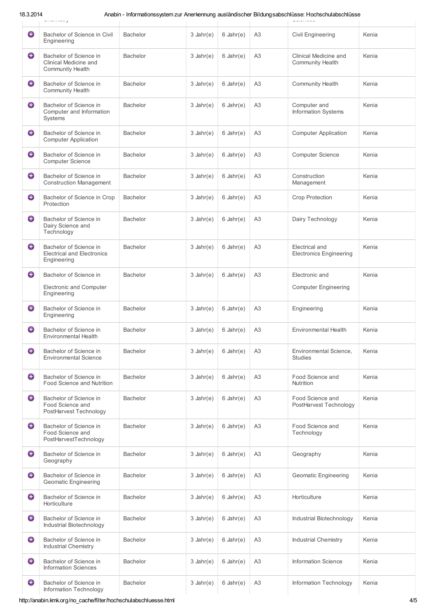18.3.2014 Anabin - Informationssystem zur Anerkennung ausländischer Bildungsabschlüsse: Hochschulabschlüsse<br>Chemistry Sciences

| ⊕ | Bachelor of Science in Civil<br>Engineering                                | Bachelor        | $3$ Jahr(e)    | $6$ Jahr $(e)$ | A <sub>3</sub> | Civil Engineering                                | Kenia |
|---|----------------------------------------------------------------------------|-----------------|----------------|----------------|----------------|--------------------------------------------------|-------|
| ⊖ | Bachelor of Science in<br>Clinical Medicine and<br><b>Community Health</b> | Bachelor        | $3$ Jahr(e)    | $6$ Jahr $(e)$ | A <sub>3</sub> | Clinical Medicine and<br><b>Community Health</b> | Kenia |
| ⊕ | Bachelor of Science in<br><b>Community Health</b>                          | <b>Bachelor</b> | $3$ Jahr(e)    | $6$ Jahr $(e)$ | A <sub>3</sub> | <b>Community Health</b>                          | Kenia |
| ⊖ | Bachelor of Science in<br>Computer and Information<br>Systems              | <b>Bachelor</b> | $3$ Jahr(e)    | $6$ Jahr $(e)$ | A <sub>3</sub> | Computer and<br>Information Systems              | Kenia |
| ⊕ | Bachelor of Science in<br><b>Computer Application</b>                      | <b>Bachelor</b> | $3$ Jahr(e)    | $6$ Jahr $(e)$ | A <sub>3</sub> | <b>Computer Application</b>                      | Kenia |
| ⊕ | Bachelor of Science in<br>Computer Science                                 | <b>Bachelor</b> | $3$ Jahr(e)    | $6$ Jahr $(e)$ | A <sub>3</sub> | Computer Science                                 | Kenia |
| ⊖ | Bachelor of Science in<br><b>Construction Management</b>                   | <b>Bachelor</b> | $3$ Jahr(e)    | $6$ Jahr $(e)$ | A <sub>3</sub> | Construction<br>Management                       | Kenia |
| ⊖ | Bachelor of Science in Crop<br>Protection                                  | <b>Bachelor</b> | $3$ Jahr(e)    | $6$ Jahr $(e)$ | A <sub>3</sub> | <b>Crop Protection</b>                           | Kenia |
| ⊖ | Bachelor of Science in<br>Dairy Science and<br>Technology                  | <b>Bachelor</b> | $3$ Jahr(e)    | $6$ Jahr $(e)$ | A <sub>3</sub> | Dairy Technology                                 | Kenia |
| ⊖ | Bachelor of Science in<br><b>Electrical and Electronics</b><br>Engineering | Bachelor        | $3$ Jahr(e)    | $6$ Jahr $(e)$ | A <sub>3</sub> | Electrical and<br><b>Electronics Engineering</b> | Kenia |
| 0 | Bachelor of Science in                                                     | <b>Bachelor</b> | $3$ Jahr(e)    | $6$ Jahr $(e)$ | A <sub>3</sub> | Electronic and                                   | Kenia |
|   | Electronic and Computer<br>Engineering                                     |                 |                |                |                | <b>Computer Engineering</b>                      |       |
| ⊖ | Bachelor of Science in<br>Engineering                                      | <b>Bachelor</b> | $3$ Jahr(e)    | $6$ Jahr $(e)$ | A3             | Engineering                                      | Kenia |
| ⊕ | Bachelor of Science in<br><b>Environmental Health</b>                      | <b>Bachelor</b> | $3$ Jahr(e)    | $6$ Jahr $(e)$ | A <sub>3</sub> | <b>Environmental Health</b>                      | Kenia |
| 0 | Bachelor of Science in<br><b>Environmental Science</b>                     | Bachelor        | $3$ Jahr(e)    | $6$ Jahr $(e)$ | A <sub>3</sub> | Environmental Science,<br><b>Studies</b>         | Kenia |
| ⊖ | Bachelor of Science in<br>Food Science and Nutrition                       | <b>Bachelor</b> | $3$ Jahr(e)    | $6$ Jahr $(e)$ | A <sub>3</sub> | Food Science and<br>Nutrition                    | Kenia |
| ⊕ | Bachelor of Science in<br>Food Science and<br>PostHarvest Technology       | <b>Bachelor</b> | $3$ Jahr(e)    | $6$ Jahr $(e)$ | A <sub>3</sub> | Food Science and<br>PostHarvest Technology       | Kenia |
| ⊖ | Bachelor of Science in<br>Food Science and<br>PostHarvestTechnology        | <b>Bachelor</b> | $3$ Jahr(e)    | $6$ Jahr $(e)$ | A <sub>3</sub> | Food Science and<br>Technology                   | Kenia |
| ⊖ | Bachelor of Science in<br>Geography                                        | Bachelor        | $3$ Jahr(e)    | $6$ Jahr $(e)$ | A <sub>3</sub> | Geography                                        | Kenia |
| 0 | Bachelor of Science in<br><b>Geomatic Engineering</b>                      | <b>Bachelor</b> | $3$ Jahr $(e)$ | $6$ Jahr $(e)$ | A <sub>3</sub> | <b>Geomatic Engineering</b>                      | Kenia |
| ⊕ | Bachelor of Science in<br>Horticulture                                     | <b>Bachelor</b> | $3$ Jahr(e)    | $6$ Jahr $(e)$ | A <sub>3</sub> | Horticulture                                     | Kenia |
| € | Bachelor of Science in<br>Industrial Biotechnology                         | <b>Bachelor</b> | $3$ Jahr(e)    | $6$ Jahr $(e)$ | A <sub>3</sub> | Industrial Biotechnology                         | Kenia |
| ⊖ | Bachelor of Science in<br>Industrial Chemistry                             | <b>Bachelor</b> | $3$ Jahr(e)    | $6$ Jahr $(e)$ | A <sub>3</sub> | Industrial Chemistry                             | Kenia |
| ⊖ | Bachelor of Science in<br><b>Information Sciences</b>                      | <b>Bachelor</b> | $3$ Jahr(e)    | $6$ Jahr $(e)$ | A <sub>3</sub> | <b>Information Science</b>                       | Kenia |
| ⊖ | Bachelor of Science in<br>Information Technology                           | <b>Bachelor</b> | $3$ Jahr(e)    | $6$ Jahr $(e)$ | A <sub>3</sub> | Information Technology                           | Kenia |